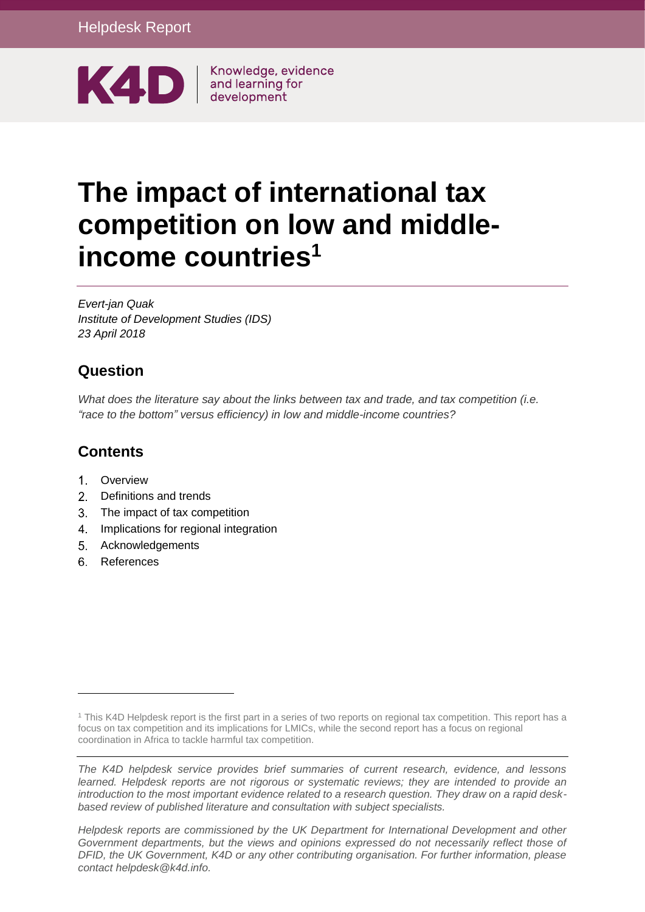

# **The impact of international tax competition on low and middleincome countries<sup>1</sup>**

*Evert-jan Quak Institute of Development Studies (IDS) 23 April 2018*

### **Question**

*What does the literature say about the links between tax and trade, and tax competition (i.e. "race to the bottom" versus efficiency) in low and middle-income countries?*

## **Contents**

- 1. [Overview](#page-1-0)
- 2 [Definitions and trends](#page-2-0)
- [The impact of tax competition](#page-4-0)
- 4. [Implications for regional integration](#page-10-0)
- 5. [Acknowledgements](#page-11-0)
- 6. [References](#page-11-1)

-

*The K4D helpdesk service provides brief summaries of current research, evidence, and lessons learned. Helpdesk reports are not rigorous or systematic reviews; they are intended to provide an introduction to the most important evidence related to a research question. They draw on a rapid deskbased review of published literature and consultation with subject specialists.* 

*Helpdesk reports are commissioned by the UK Department for International Development and other Government departments, but the views and opinions expressed do not necessarily reflect those of DFID, the UK Government, K4D or any other contributing organisation. For further information, please contact helpdesk@k4d.info.*

<sup>&</sup>lt;sup>1</sup> This K4D Helpdesk report is the first part in a series of two reports on regional tax competition. This report has a focus on tax competition and its implications for LMICs, while the second report has a focus on regional coordination in Africa to tackle harmful tax competition.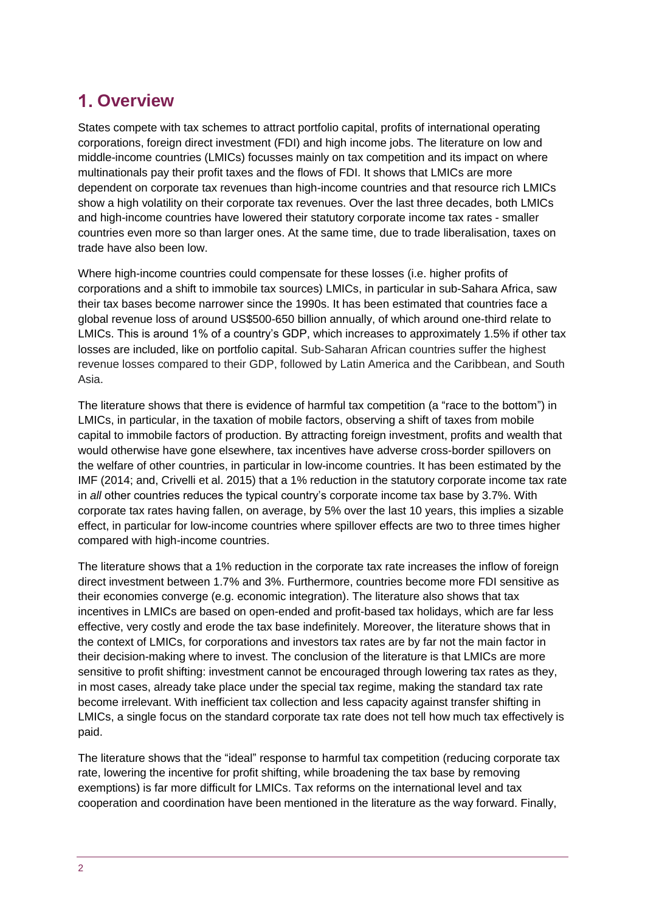# <span id="page-1-0"></span>**Overview**

States compete with tax schemes to attract portfolio capital, profits of international operating corporations, foreign direct investment (FDI) and high income jobs. The literature on low and middle-income countries (LMICs) focusses mainly on tax competition and its impact on where multinationals pay their profit taxes and the flows of FDI. It shows that LMICs are more dependent on corporate tax revenues than high-income countries and that resource rich LMICs show a high volatility on their corporate tax revenues. Over the last three decades, both LMICs and high-income countries have lowered their statutory corporate income tax rates - smaller countries even more so than larger ones. At the same time, due to trade liberalisation, taxes on trade have also been low.

Where high-income countries could compensate for these losses (i.e. higher profits of corporations and a shift to immobile tax sources) LMICs, in particular in sub-Sahara Africa, saw their tax bases become narrower since the 1990s. It has been estimated that countries face a global revenue loss of around US\$500-650 billion annually, of which around one-third relate to LMICs. This is around 1% of a country's GDP, which increases to approximately 1.5% if other tax losses are included, like on portfolio capital. Sub‐Saharan African countries suffer the highest revenue losses compared to their GDP, followed by Latin America and the Caribbean, and South Asia.

The literature shows that there is evidence of harmful tax competition (a "race to the bottom") in LMICs, in particular, in the taxation of mobile factors, observing a shift of taxes from mobile capital to immobile factors of production. By attracting foreign investment, profits and wealth that would otherwise have gone elsewhere, tax incentives have adverse cross-border spillovers on the welfare of other countries, in particular in low-income countries. It has been estimated by the IMF (2014; and, Crivelli et al. 2015) that a 1% reduction in the statutory corporate income tax rate in *all* other countries reduces the typical country's corporate income tax base by 3.7%. With corporate tax rates having fallen, on average, by 5% over the last 10 years, this implies a sizable effect, in particular for low-income countries where spillover effects are two to three times higher compared with high-income countries.

The literature shows that a 1% reduction in the corporate tax rate increases the inflow of foreign direct investment between 1.7% and 3%. Furthermore, countries become more FDI sensitive as their economies converge (e.g. economic integration). The literature also shows that tax incentives in LMICs are based on open-ended and profit-based tax holidays, which are far less effective, very costly and erode the tax base indefinitely. Moreover, the literature shows that in the context of LMICs, for corporations and investors tax rates are by far not the main factor in their decision-making where to invest. The conclusion of the literature is that LMICs are more sensitive to profit shifting: investment cannot be encouraged through lowering tax rates as they, in most cases, already take place under the special tax regime, making the standard tax rate become irrelevant. With inefficient tax collection and less capacity against transfer shifting in LMICs, a single focus on the standard corporate tax rate does not tell how much tax effectively is paid.

The literature shows that the "ideal" response to harmful tax competition (reducing corporate tax rate, lowering the incentive for profit shifting, while broadening the tax base by removing exemptions) is far more difficult for LMICs. Tax reforms on the international level and tax cooperation and coordination have been mentioned in the literature as the way forward. Finally,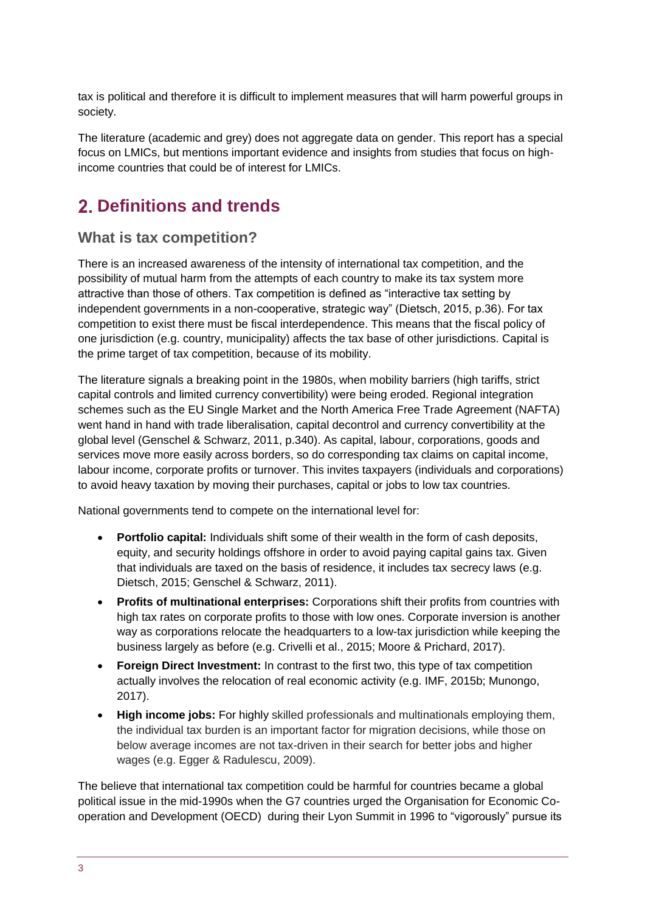tax is political and therefore it is difficult to implement measures that will harm powerful groups in society.

The literature (academic and grey) does not aggregate data on gender. This report has a special focus on LMICs, but mentions important evidence and insights from studies that focus on highincome countries that could be of interest for LMICs.

## <span id="page-2-0"></span>**Definitions and trends**

#### **What is tax competition?**

There is an increased awareness of the intensity of international tax competition, and the possibility of mutual harm from the attempts of each country to make its tax system more attractive than those of others. Tax competition is defined as "interactive tax setting by independent governments in a non-cooperative, strategic way" (Dietsch, 2015, p.36). For tax competition to exist there must be fiscal interdependence. This means that the fiscal policy of one jurisdiction (e.g. country, municipality) affects the tax base of other jurisdictions. Capital is the prime target of tax competition, because of its mobility.

The literature signals a breaking point in the 1980s, when mobility barriers (high tariffs, strict capital controls and limited currency convertibility) were being eroded. Regional integration schemes such as the EU Single Market and the North America Free Trade Agreement (NAFTA) went hand in hand with trade liberalisation, capital decontrol and currency convertibility at the global level (Genschel & Schwarz, 2011, p.340). As capital, labour, corporations, goods and services move more easily across borders, so do corresponding tax claims on capital income, labour income, corporate profits or turnover. This invites taxpayers (individuals and corporations) to avoid heavy taxation by moving their purchases, capital or jobs to low tax countries.

National governments tend to compete on the international level for:

- **Portfolio capital:** Individuals shift some of their wealth in the form of cash deposits, equity, and security holdings offshore in order to avoid paying capital gains tax. Given that individuals are taxed on the basis of residence, it includes tax secrecy laws (e.g. Dietsch, 2015; Genschel & Schwarz, 2011).
- **Profits of multinational enterprises:** Corporations shift their profits from countries with high tax rates on corporate profits to those with low ones. Corporate inversion is another way as corporations relocate the headquarters to a low-tax jurisdiction while keeping the business largely as before (e.g. Crivelli et al., 2015; Moore & Prichard, 2017).
- **Foreign Direct Investment:** In contrast to the first two, this type of tax competition actually involves the relocation of real economic activity (e.g. IMF, 2015b; Munongo, 2017).
- **High income jobs:** For highly skilled professionals and multinationals employing them, the individual tax burden is an important factor for migration decisions, while those on below average incomes are not tax-driven in their search for better jobs and higher wages (e.g. Egger & Radulescu, 2009).

The believe that international tax competition could be harmful for countries became a global political issue in the mid-1990s when the G7 countries urged the Organisation for Economic Cooperation and Development (OECD) during their Lyon Summit in 1996 to "vigorously" pursue its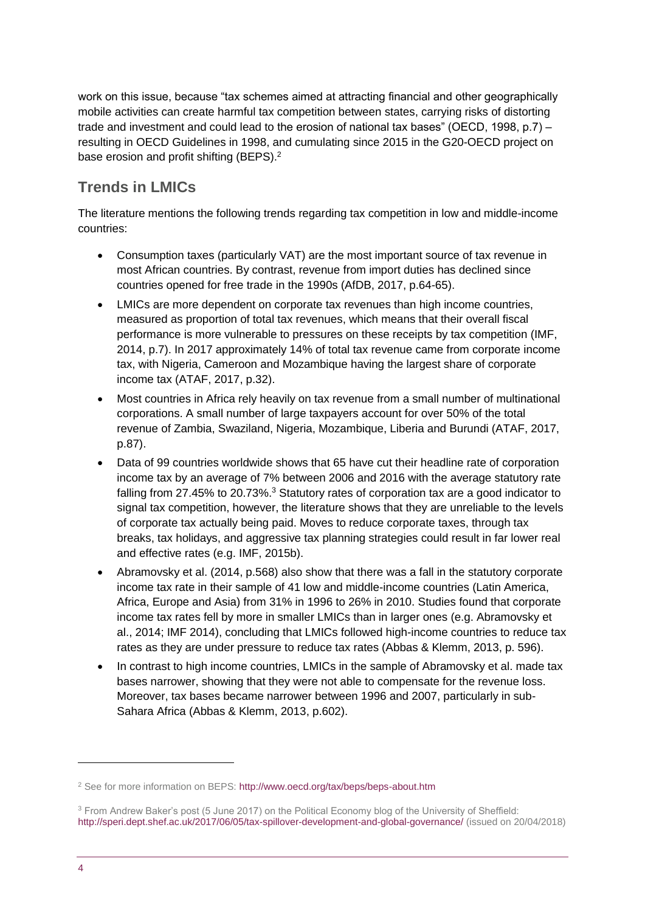work on this issue, because "tax schemes aimed at attracting financial and other geographically mobile activities can create harmful tax competition between states, carrying risks of distorting trade and investment and could lead to the erosion of national tax bases" (OECD, 1998, p.7) – resulting in OECD Guidelines in 1998, and cumulating since 2015 in the G20-OECD project on base erosion and profit shifting (BEPS).<sup>2</sup>

#### **Trends in LMICs**

The literature mentions the following trends regarding tax competition in low and middle-income countries:

- Consumption taxes (particularly VAT) are the most important source of tax revenue in most African countries. By contrast, revenue from import duties has declined since countries opened for free trade in the 1990s (AfDB, 2017, p.64-65).
- LMICs are more dependent on corporate tax revenues than high income countries, measured as proportion of total tax revenues, which means that their overall fiscal performance is more vulnerable to pressures on these receipts by tax competition (IMF, 2014, p.7). In 2017 approximately 14% of total tax revenue came from corporate income tax, with Nigeria, Cameroon and Mozambique having the largest share of corporate income tax (ATAF, 2017, p.32).
- Most countries in Africa rely heavily on tax revenue from a small number of multinational corporations. A small number of large taxpayers account for over 50% of the total revenue of Zambia, Swaziland, Nigeria, Mozambique, Liberia and Burundi (ATAF, 2017, p.87).
- Data of 99 countries worldwide shows that 65 have cut their headline rate of corporation income tax by an average of 7% between 2006 and 2016 with the average statutory rate falling from 27.45% to 20.73%.<sup>3</sup> Statutory rates of corporation tax are a good indicator to signal tax competition, however, the literature shows that they are unreliable to the levels of corporate tax actually being paid. Moves to reduce corporate taxes, through tax breaks, tax holidays, and aggressive tax planning strategies could result in far lower real and effective rates (e.g. IMF, 2015b).
- Abramovsky et al. (2014, p.568) also show that there was a fall in the statutory corporate income tax rate in their sample of 41 low and middle-income countries (Latin America, Africa, Europe and Asia) from 31% in 1996 to 26% in 2010. Studies found that corporate income tax rates fell by more in smaller LMICs than in larger ones (e.g. Abramovsky et al., 2014; IMF 2014), concluding that LMICs followed high-income countries to reduce tax rates as they are under pressure to reduce tax rates (Abbas & Klemm, 2013, p. 596).
- In contrast to high income countries, LMICs in the sample of Abramovsky et al. made tax bases narrower, showing that they were not able to compensate for the revenue loss. Moreover, tax bases became narrower between 1996 and 2007, particularly in sub-Sahara Africa (Abbas & Klemm, 2013, p.602).

1

<sup>&</sup>lt;sup>2</sup> See for more information on BEPS:<http://www.oecd.org/tax/beps/beps-about.htm>

<sup>3</sup> From Andrew Baker's post (5 June 2017) on the Political Economy blog of the University of Sheffield: <http://speri.dept.shef.ac.uk/2017/06/05/tax-spillover-development-and-global-governance/> (issued on 20/04/2018)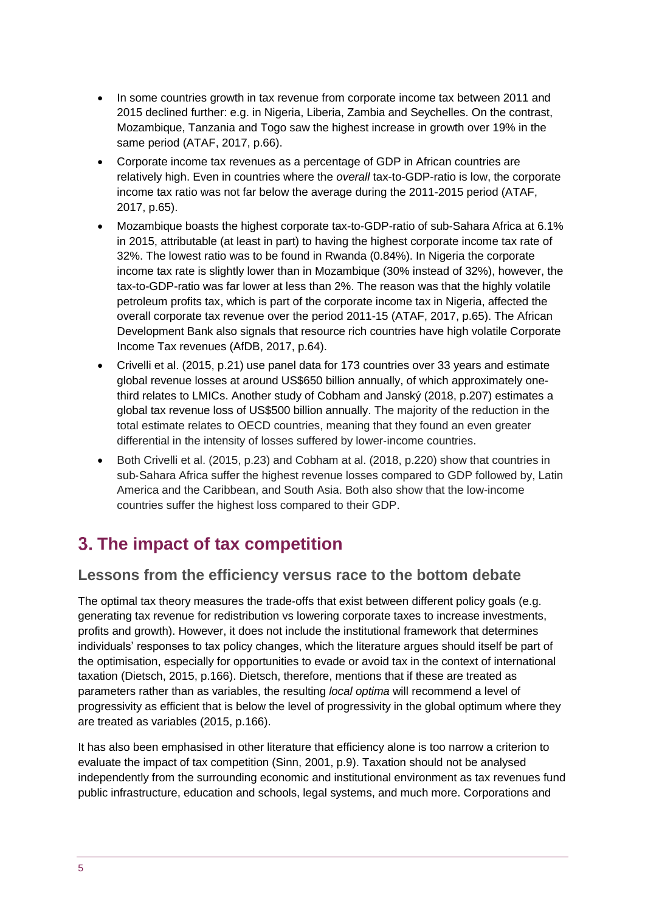- In some countries growth in tax revenue from corporate income tax between 2011 and 2015 declined further: e.g. in Nigeria, Liberia, Zambia and Seychelles. On the contrast, Mozambique, Tanzania and Togo saw the highest increase in growth over 19% in the same period (ATAF, 2017, p.66).
- Corporate income tax revenues as a percentage of GDP in African countries are relatively high. Even in countries where the *overall* tax-to-GDP-ratio is low, the corporate income tax ratio was not far below the average during the 2011-2015 period (ATAF, 2017, p.65).
- Mozambique boasts the highest corporate tax-to-GDP-ratio of sub-Sahara Africa at 6.1% in 2015, attributable (at least in part) to having the highest corporate income tax rate of 32%. The lowest ratio was to be found in Rwanda (0.84%). In Nigeria the corporate income tax rate is slightly lower than in Mozambique (30% instead of 32%), however, the tax-to-GDP-ratio was far lower at less than 2%. The reason was that the highly volatile petroleum profits tax, which is part of the corporate income tax in Nigeria, affected the overall corporate tax revenue over the period 2011-15 (ATAF, 2017, p.65). The African Development Bank also signals that resource rich countries have high volatile Corporate Income Tax revenues (AfDB, 2017, p.64).
- Crivelli et al. (2015, p.21) use panel data for 173 countries over 33 years and estimate global revenue losses at around US\$650 billion annually, of which approximately onethird relates to LMICs. Another study of Cobham and Janský (2018, p.207) estimates a global tax revenue loss of US\$500 billion annually. The majority of the reduction in the total estimate relates to OECD countries, meaning that they found an even greater differential in the intensity of losses suffered by lower‐income countries.
- Both Crivelli et al. (2015, p.23) and Cobham at al. (2018, p.220) show that countries in sub‐Sahara Africa suffer the highest revenue losses compared to GDP followed by, Latin America and the Caribbean, and South Asia. Both also show that the low-income countries suffer the highest loss compared to their GDP.

## <span id="page-4-0"></span>**The impact of tax competition**

#### **Lessons from the efficiency versus race to the bottom debate**

The optimal tax theory measures the trade-offs that exist between different policy goals (e.g. generating tax revenue for redistribution vs lowering corporate taxes to increase investments, profits and growth). However, it does not include the institutional framework that determines individuals' responses to tax policy changes, which the literature argues should itself be part of the optimisation, especially for opportunities to evade or avoid tax in the context of international taxation (Dietsch, 2015, p.166). Dietsch, therefore, mentions that if these are treated as parameters rather than as variables, the resulting *local optima* will recommend a level of progressivity as efficient that is below the level of progressivity in the global optimum where they are treated as variables (2015, p.166).

It has also been emphasised in other literature that efficiency alone is too narrow a criterion to evaluate the impact of tax competition (Sinn, 2001, p.9). Taxation should not be analysed independently from the surrounding economic and institutional environment as tax revenues fund public infrastructure, education and schools, legal systems, and much more. Corporations and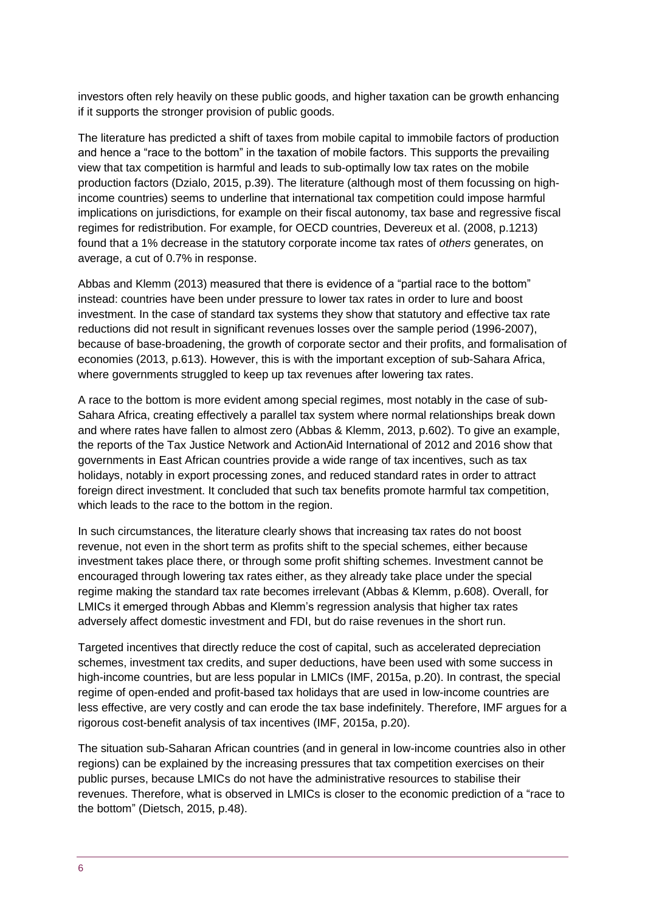investors often rely heavily on these public goods, and higher taxation can be growth enhancing if it supports the stronger provision of public goods.

The literature has predicted a shift of taxes from mobile capital to immobile factors of production and hence a "race to the bottom" in the taxation of mobile factors. This supports the prevailing view that tax competition is harmful and leads to sub-optimally low tax rates on the mobile production factors (Dzialo, 2015, p.39). The literature (although most of them focussing on highincome countries) seems to underline that international tax competition could impose harmful implications on jurisdictions, for example on their fiscal autonomy, tax base and regressive fiscal regimes for redistribution. For example, for OECD countries, Devereux et al. (2008, p.1213) found that a 1% decrease in the statutory corporate income tax rates of *others* generates, on average, a cut of 0.7% in response.

Abbas and Klemm (2013) measured that there is evidence of a "partial race to the bottom" instead: countries have been under pressure to lower tax rates in order to lure and boost investment. In the case of standard tax systems they show that statutory and effective tax rate reductions did not result in significant revenues losses over the sample period (1996-2007), because of base-broadening, the growth of corporate sector and their profits, and formalisation of economies (2013, p.613). However, this is with the important exception of sub-Sahara Africa, where governments struggled to keep up tax revenues after lowering tax rates.

A race to the bottom is more evident among special regimes, most notably in the case of sub-Sahara Africa, creating effectively a parallel tax system where normal relationships break down and where rates have fallen to almost zero (Abbas & Klemm, 2013, p.602). To give an example, the reports of the Tax Justice Network and ActionAid International of 2012 and 2016 show that governments in East African countries provide a wide range of tax incentives, such as tax holidays, notably in export processing zones, and reduced standard rates in order to attract foreign direct investment. It concluded that such tax benefits promote harmful tax competition, which leads to the race to the bottom in the region.

In such circumstances, the literature clearly shows that increasing tax rates do not boost revenue, not even in the short term as profits shift to the special schemes, either because investment takes place there, or through some profit shifting schemes. Investment cannot be encouraged through lowering tax rates either, as they already take place under the special regime making the standard tax rate becomes irrelevant (Abbas & Klemm, p.608). Overall, for LMICs it emerged through Abbas and Klemm's regression analysis that higher tax rates adversely affect domestic investment and FDI, but do raise revenues in the short run.

Targeted incentives that directly reduce the cost of capital, such as accelerated depreciation schemes, investment tax credits, and super deductions, have been used with some success in high-income countries, but are less popular in LMICs (IMF, 2015a, p.20). In contrast, the special regime of open-ended and profit-based tax holidays that are used in low-income countries are less effective, are very costly and can erode the tax base indefinitely. Therefore, IMF argues for a rigorous cost-benefit analysis of tax incentives (IMF, 2015a, p.20).

The situation sub-Saharan African countries (and in general in low-income countries also in other regions) can be explained by the increasing pressures that tax competition exercises on their public purses, because LMICs do not have the administrative resources to stabilise their revenues. Therefore, what is observed in LMICs is closer to the economic prediction of a "race to the bottom" (Dietsch, 2015, p.48).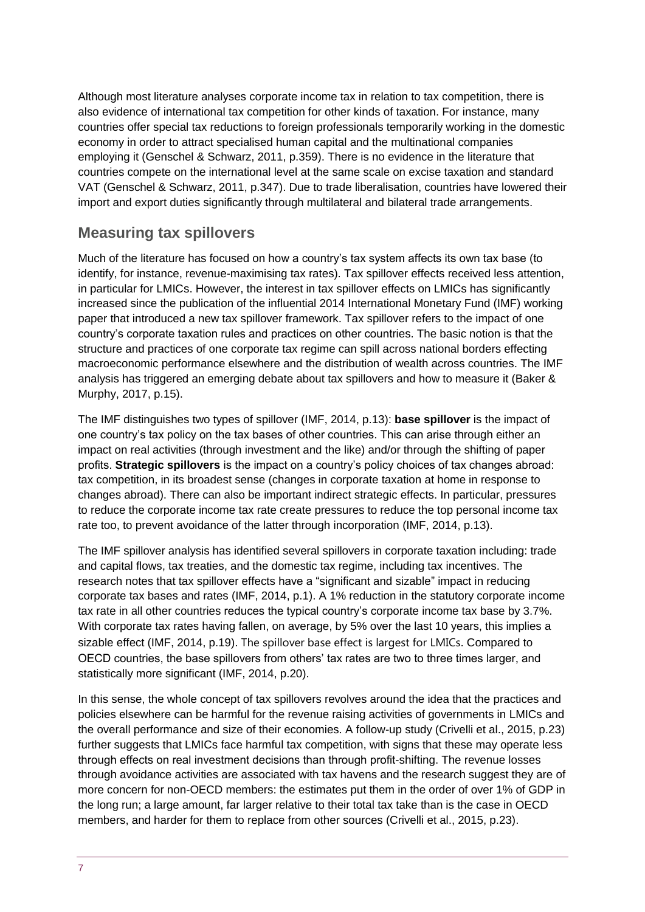Although most literature analyses corporate income tax in relation to tax competition, there is also evidence of international tax competition for other kinds of taxation. For instance, many countries offer special tax reductions to foreign professionals temporarily working in the domestic economy in order to attract specialised human capital and the multinational companies employing it (Genschel & Schwarz, 2011, p.359). There is no evidence in the literature that countries compete on the international level at the same scale on excise taxation and standard VAT (Genschel & Schwarz, 2011, p.347). Due to trade liberalisation, countries have lowered their import and export duties significantly through multilateral and bilateral trade arrangements.

#### **Measuring tax spillovers**

Much of the literature has focused on how a country's tax system affects its own tax base (to identify, for instance, revenue-maximising tax rates). Tax spillover effects received less attention, in particular for LMICs. However, the interest in tax spillover effects on LMICs has significantly increased since the publication of the influential 2014 International Monetary Fund (IMF) working paper that introduced a new tax spillover framework. Tax spillover refers to the impact of one country's corporate taxation rules and practices on other countries. The basic notion is that the structure and practices of one corporate tax regime can spill across national borders effecting macroeconomic performance elsewhere and the distribution of wealth across countries. The IMF analysis has triggered an emerging debate about tax spillovers and how to measure it (Baker & Murphy, 2017, p.15).

The IMF distinguishes two types of spillover (IMF, 2014, p.13): **base spillover** is the impact of one country's tax policy on the tax bases of other countries. This can arise through either an impact on real activities (through investment and the like) and/or through the shifting of paper profits. **Strategic spillovers** is the impact on a country's policy choices of tax changes abroad: tax competition, in its broadest sense (changes in corporate taxation at home in response to changes abroad). There can also be important indirect strategic effects. In particular, pressures to reduce the corporate income tax rate create pressures to reduce the top personal income tax rate too, to prevent avoidance of the latter through incorporation (IMF, 2014, p.13).

The IMF spillover analysis has identified several spillovers in corporate taxation including: trade and capital flows, tax treaties, and the domestic tax regime, including tax incentives. The research notes that tax spillover effects have a "significant and sizable" impact in reducing corporate tax bases and rates (IMF, 2014, p.1). A 1% reduction in the statutory corporate income tax rate in all other countries reduces the typical country's corporate income tax base by 3.7%. With corporate tax rates having fallen, on average, by 5% over the last 10 years, this implies a sizable effect (IMF, 2014, p.19). The spillover base effect is largest for LMICs. Compared to OECD countries, the base spillovers from others' tax rates are two to three times larger, and statistically more significant (IMF, 2014, p.20).

In this sense, the whole concept of tax spillovers revolves around the idea that the practices and policies elsewhere can be harmful for the revenue raising activities of governments in LMICs and the overall performance and size of their economies. A follow-up study (Crivelli et al., 2015, p.23) further suggests that LMICs face harmful tax competition, with signs that these may operate less through effects on real investment decisions than through profit-shifting. The revenue losses through avoidance activities are associated with tax havens and the research suggest they are of more concern for non-OECD members: the estimates put them in the order of over 1% of GDP in the long run; a large amount, far larger relative to their total tax take than is the case in OECD members, and harder for them to replace from other sources (Crivelli et al., 2015, p.23).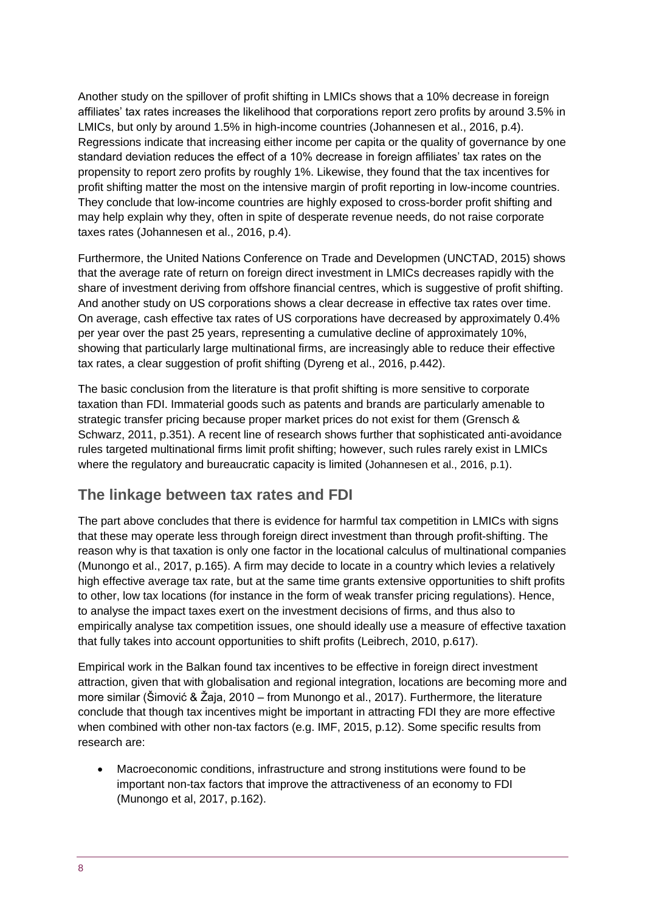Another study on the spillover of profit shifting in LMICs shows that a 10% decrease in foreign affiliates' tax rates increases the likelihood that corporations report zero profits by around 3.5% in LMICs, but only by around 1.5% in high-income countries (Johannesen et al., 2016, p.4). Regressions indicate that increasing either income per capita or the quality of governance by one standard deviation reduces the effect of a 10% decrease in foreign affiliates' tax rates on the propensity to report zero profits by roughly 1%. Likewise, they found that the tax incentives for profit shifting matter the most on the intensive margin of profit reporting in low-income countries. They conclude that low-income countries are highly exposed to cross-border profit shifting and may help explain why they, often in spite of desperate revenue needs, do not raise corporate taxes rates (Johannesen et al., 2016, p.4).

Furthermore, the United Nations Conference on Trade and Developmen (UNCTAD, 2015) shows that the average rate of return on foreign direct investment in LMICs decreases rapidly with the share of investment deriving from offshore financial centres, which is suggestive of profit shifting. And another study on US corporations shows a clear decrease in effective tax rates over time. On average, cash effective tax rates of US corporations have decreased by approximately 0.4% per year over the past 25 years, representing a cumulative decline of approximately 10%, showing that particularly large multinational firms, are increasingly able to reduce their effective tax rates, a clear suggestion of profit shifting (Dyreng et al., 2016, p.442).

The basic conclusion from the literature is that profit shifting is more sensitive to corporate taxation than FDI. Immaterial goods such as patents and brands are particularly amenable to strategic transfer pricing because proper market prices do not exist for them (Grensch & Schwarz, 2011, p.351). A recent line of research shows further that sophisticated anti-avoidance rules targeted multinational firms limit profit shifting; however, such rules rarely exist in LMICs where the regulatory and bureaucratic capacity is limited (Johannesen et al., 2016, p.1).

#### **The linkage between tax rates and FDI**

The part above concludes that there is evidence for harmful tax competition in LMICs with signs that these may operate less through foreign direct investment than through profit-shifting. The reason why is that taxation is only one factor in the locational calculus of multinational companies (Munongo et al., 2017, p.165). A firm may decide to locate in a country which levies a relatively high effective average tax rate, but at the same time grants extensive opportunities to shift profits to other, low tax locations (for instance in the form of weak transfer pricing regulations). Hence, to analyse the impact taxes exert on the investment decisions of firms, and thus also to empirically analyse tax competition issues, one should ideally use a measure of effective taxation that fully takes into account opportunities to shift profits (Leibrech, 2010, p.617).

Empirical work in the Balkan found tax incentives to be effective in foreign direct investment attraction, given that with globalisation and regional integration, locations are becoming more and more similar (Šimović & Žaja, 2010 – from Munongo et al., 2017). Furthermore, the literature conclude that though tax incentives might be important in attracting FDI they are more effective when combined with other non-tax factors (e.g. IMF, 2015, p.12). Some specific results from research are:

• Macroeconomic conditions, infrastructure and strong institutions were found to be important non-tax factors that improve the attractiveness of an economy to FDI (Munongo et al, 2017, p.162).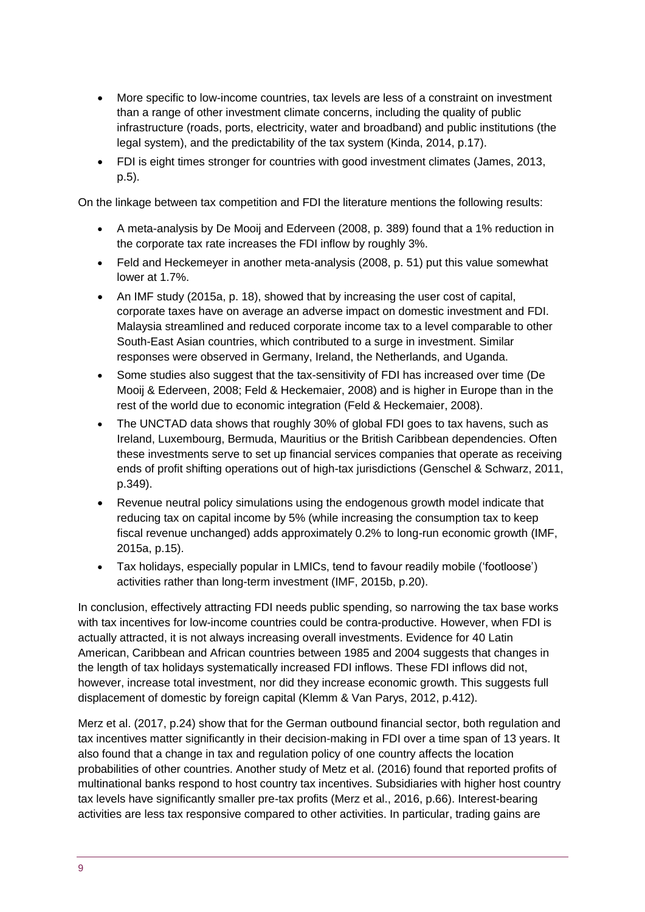- More specific to low-income countries, tax levels are less of a constraint on investment than a range of other investment climate concerns, including the quality of public infrastructure (roads, ports, electricity, water and broadband) and public institutions (the legal system), and the predictability of the tax system (Kinda, 2014, p.17).
- FDI is eight times stronger for countries with good investment climates (James, 2013, p.5).

On the linkage between tax competition and FDI the literature mentions the following results:

- A meta-analysis by De Mooij and Ederveen (2008, p. 389) found that a 1% reduction in the corporate tax rate increases the FDI inflow by roughly 3%.
- Feld and Heckemeyer in another meta-analysis (2008, p. 51) put this value somewhat lower at 1.7%.
- An IMF study (2015a, p. 18), showed that by increasing the user cost of capital, corporate taxes have on average an adverse impact on domestic investment and FDI. Malaysia streamlined and reduced corporate income tax to a level comparable to other South-East Asian countries, which contributed to a surge in investment. Similar responses were observed in Germany, Ireland, the Netherlands, and Uganda.
- Some studies also suggest that the tax-sensitivity of FDI has increased over time (De Mooij & Ederveen, 2008; Feld & Heckemaier, 2008) and is higher in Europe than in the rest of the world due to economic integration (Feld & Heckemaier, 2008).
- The UNCTAD data shows that roughly 30% of global FDI goes to tax havens, such as Ireland, Luxembourg, Bermuda, Mauritius or the British Caribbean dependencies. Often these investments serve to set up financial services companies that operate as receiving ends of profit shifting operations out of high-tax jurisdictions (Genschel & Schwarz, 2011, p.349).
- Revenue neutral policy simulations using the endogenous growth model indicate that reducing tax on capital income by 5% (while increasing the consumption tax to keep fiscal revenue unchanged) adds approximately 0.2% to long-run economic growth (IMF, 2015a, p.15).
- Tax holidays, especially popular in LMICs, tend to favour readily mobile ('footloose') activities rather than long-term investment (IMF, 2015b, p.20).

In conclusion, effectively attracting FDI needs public spending, so narrowing the tax base works with tax incentives for low-income countries could be contra-productive. However, when FDI is actually attracted, it is not always increasing overall investments. Evidence for 40 Latin American, Caribbean and African countries between 1985 and 2004 suggests that changes in the length of tax holidays systematically increased FDI inflows. These FDI inflows did not, however, increase total investment, nor did they increase economic growth. This suggests full displacement of domestic by foreign capital (Klemm & Van Parys, 2012, p.412).

Merz et al. (2017, p.24) show that for the German outbound financial sector, both regulation and tax incentives matter significantly in their decision-making in FDI over a time span of 13 years. It also found that a change in tax and regulation policy of one country affects the location probabilities of other countries. Another study of Metz et al. (2016) found that reported profits of multinational banks respond to host country tax incentives. Subsidiaries with higher host country tax levels have significantly smaller pre-tax profits (Merz et al., 2016, p.66). Interest-bearing activities are less tax responsive compared to other activities. In particular, trading gains are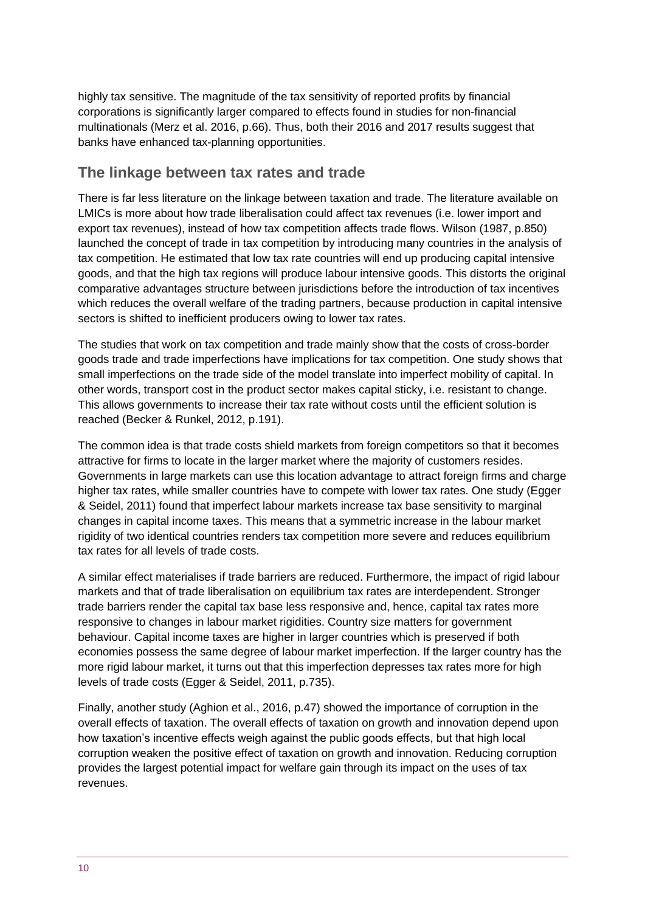highly tax sensitive. The magnitude of the tax sensitivity of reported profits by financial corporations is significantly larger compared to effects found in studies for non-financial multinationals (Merz et al. 2016, p.66). Thus, both their 2016 and 2017 results suggest that banks have enhanced tax-planning opportunities.

#### **The linkage between tax rates and trade**

There is far less literature on the linkage between taxation and trade. The literature available on LMICs is more about how trade liberalisation could affect tax revenues (i.e. lower import and export tax revenues), instead of how tax competition affects trade flows. Wilson (1987, p.850) launched the concept of trade in tax competition by introducing many countries in the analysis of tax competition. He estimated that low tax rate countries will end up producing capital intensive goods, and that the high tax regions will produce labour intensive goods. This distorts the original comparative advantages structure between jurisdictions before the introduction of tax incentives which reduces the overall welfare of the trading partners, because production in capital intensive sectors is shifted to inefficient producers owing to lower tax rates.

The studies that work on tax competition and trade mainly show that the costs of cross-border goods trade and trade imperfections have implications for tax competition. One study shows that small imperfections on the trade side of the model translate into imperfect mobility of capital. In other words, transport cost in the product sector makes capital sticky, i.e. resistant to change. This allows governments to increase their tax rate without costs until the efficient solution is reached (Becker & Runkel, 2012, p.191).

The common idea is that trade costs shield markets from foreign competitors so that it becomes attractive for firms to locate in the larger market where the majority of customers resides. Governments in large markets can use this location advantage to attract foreign firms and charge higher tax rates, while smaller countries have to compete with lower tax rates. One study (Egger & Seidel, 2011) found that imperfect labour markets increase tax base sensitivity to marginal changes in capital income taxes. This means that a symmetric increase in the labour market rigidity of two identical countries renders tax competition more severe and reduces equilibrium tax rates for all levels of trade costs.

A similar effect materialises if trade barriers are reduced. Furthermore, the impact of rigid labour markets and that of trade liberalisation on equilibrium tax rates are interdependent. Stronger trade barriers render the capital tax base less responsive and, hence, capital tax rates more responsive to changes in labour market rigidities. Country size matters for government behaviour. Capital income taxes are higher in larger countries which is preserved if both economies possess the same degree of labour market imperfection. If the larger country has the more rigid labour market, it turns out that this imperfection depresses tax rates more for high levels of trade costs (Egger & Seidel, 2011, p.735).

Finally, another study (Aghion et al., 2016, p.47) showed the importance of corruption in the overall effects of taxation. The overall effects of taxation on growth and innovation depend upon how taxation's incentive effects weigh against the public goods effects, but that high local corruption weaken the positive effect of taxation on growth and innovation. Reducing corruption provides the largest potential impact for welfare gain through its impact on the uses of tax revenues.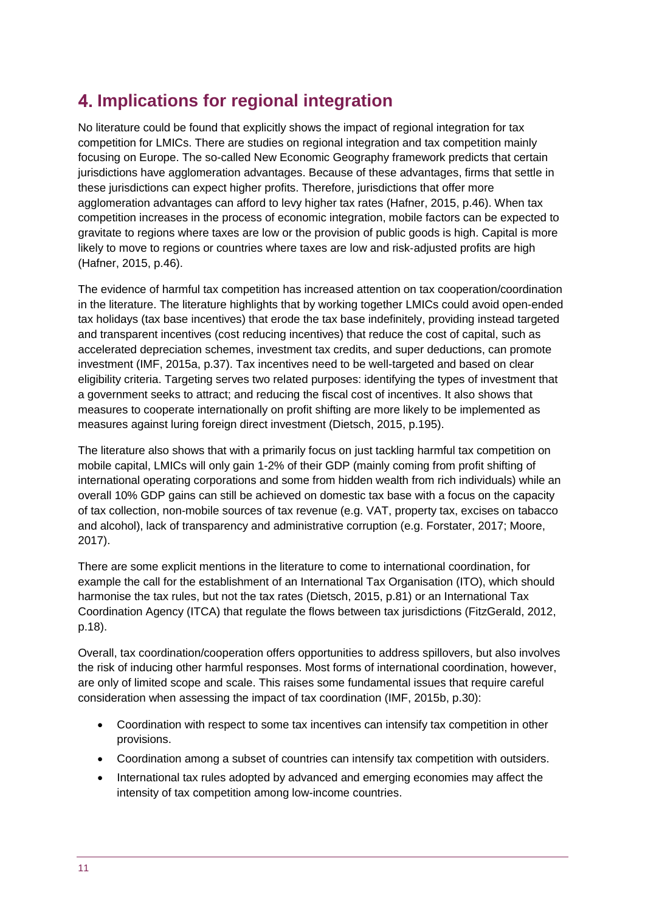## <span id="page-10-0"></span>**Implications for regional integration**

No literature could be found that explicitly shows the impact of regional integration for tax competition for LMICs. There are studies on regional integration and tax competition mainly focusing on Europe. The so-called New Economic Geography framework predicts that certain jurisdictions have agglomeration advantages. Because of these advantages, firms that settle in these jurisdictions can expect higher profits. Therefore, jurisdictions that offer more agglomeration advantages can afford to levy higher tax rates (Hafner, 2015, p.46). When tax competition increases in the process of economic integration, mobile factors can be expected to gravitate to regions where taxes are low or the provision of public goods is high. Capital is more likely to move to regions or countries where taxes are low and risk-adjusted profits are high (Hafner, 2015, p.46).

The evidence of harmful tax competition has increased attention on tax cooperation/coordination in the literature. The literature highlights that by working together LMICs could avoid open-ended tax holidays (tax base incentives) that erode the tax base indefinitely, providing instead targeted and transparent incentives (cost reducing incentives) that reduce the cost of capital, such as accelerated depreciation schemes, investment tax credits, and super deductions, can promote investment (IMF, 2015a, p.37). Tax incentives need to be well-targeted and based on clear eligibility criteria. Targeting serves two related purposes: identifying the types of investment that a government seeks to attract; and reducing the fiscal cost of incentives. It also shows that measures to cooperate internationally on profit shifting are more likely to be implemented as measures against luring foreign direct investment (Dietsch, 2015, p.195).

The literature also shows that with a primarily focus on just tackling harmful tax competition on mobile capital, LMICs will only gain 1-2% of their GDP (mainly coming from profit shifting of international operating corporations and some from hidden wealth from rich individuals) while an overall 10% GDP gains can still be achieved on domestic tax base with a focus on the capacity of tax collection, non-mobile sources of tax revenue (e.g. VAT, property tax, excises on tabacco and alcohol), lack of transparency and administrative corruption (e.g. Forstater, 2017; Moore, 2017).

There are some explicit mentions in the literature to come to international coordination, for example the call for the establishment of an International Tax Organisation (ITO), which should harmonise the tax rules, but not the tax rates (Dietsch, 2015, p.81) or an International Tax Coordination Agency (ITCA) that regulate the flows between tax jurisdictions (FitzGerald, 2012, p.18).

Overall, tax coordination/cooperation offers opportunities to address spillovers, but also involves the risk of inducing other harmful responses. Most forms of international coordination, however, are only of limited scope and scale. This raises some fundamental issues that require careful consideration when assessing the impact of tax coordination (IMF, 2015b, p.30):

- Coordination with respect to some tax incentives can intensify tax competition in other provisions.
- Coordination among a subset of countries can intensify tax competition with outsiders.
- International tax rules adopted by advanced and emerging economies may affect the intensity of tax competition among low-income countries.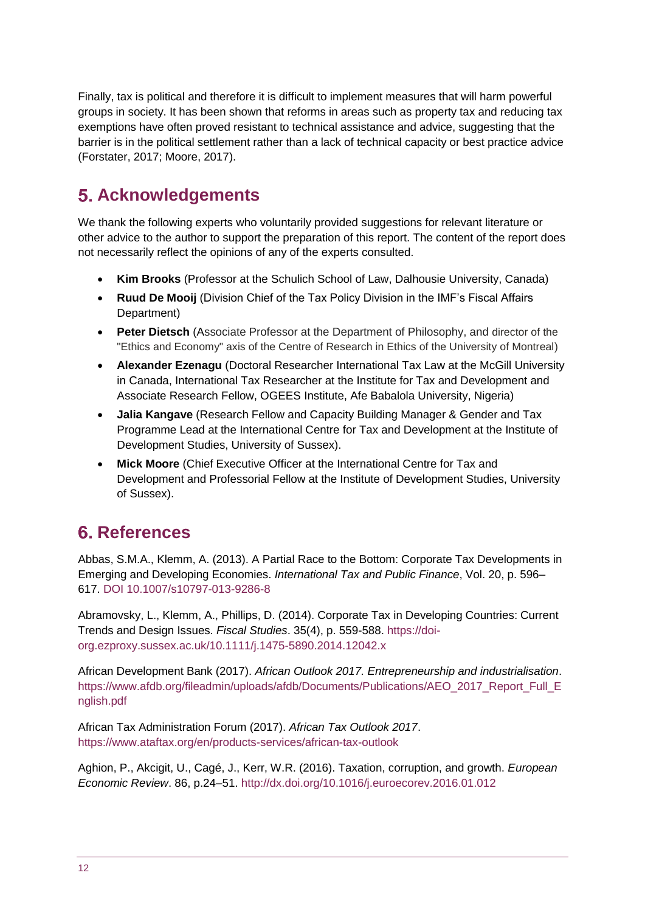Finally, tax is political and therefore it is difficult to implement measures that will harm powerful groups in society. It has been shown that reforms in areas such as property tax and reducing tax exemptions have often proved resistant to technical assistance and advice, suggesting that the barrier is in the political settlement rather than a lack of technical capacity or best practice advice (Forstater, 2017; Moore, 2017).

## <span id="page-11-0"></span>**Acknowledgements**

We thank the following experts who voluntarily provided suggestions for relevant literature or other advice to the author to support the preparation of this report. The content of the report does not necessarily reflect the opinions of any of the experts consulted.

- **Kim Brooks** (Professor at the [Schulich School of Law,](https://www.dal.ca/faculty/law.html) Dalhousie University, Canada)
- **Ruud De Mooij** (Division Chief of the Tax Policy Division in the IMF's Fiscal Affairs Department)
- **Peter Dietsch** (Associate Professor at the Department of Philosophy, and director of the "Ethics and Economy" axis of the Centre of Research in Ethics of the University of Montreal)
- **Alexander Ezenagu** (Doctoral Researcher International Tax Law at the McGill University in Canada, International Tax Researcher at the Institute for Tax and Development and Associate Research Fellow, OGEES Institute, Afe Babalola University, Nigeria)
- **Jalia Kangave** (Research Fellow and Capacity Building Manager & Gender and Tax Programme Lead at the International Centre for Tax and Development at the Institute of Development Studies, University of Sussex).
- **Mick Moore** (Chief Executive Officer at the International Centre for Tax and Development and Professorial Fellow at the Institute of Development Studies, University of Sussex).

# <span id="page-11-1"></span>**References**

Abbas, S.M.A., Klemm, A. (2013). A Partial Race to the Bottom: Corporate Tax Developments in Emerging and Developing Economies. *International Tax and Public Finance*, Vol. 20, p. 596– 617. DOI 10.1007/s10797-013-9286-8

Abramovsky, L., Klemm, A., Phillips, D. (2014). Corporate Tax in Developing Countries: Current Trends and Design Issues. *Fiscal Studies*. 35(4), p. 559-588. [https://doi](https://doi-org.ezproxy.sussex.ac.uk/10.1111/j.1475-5890.2014.12042.x)[org.ezproxy.sussex.ac.uk/10.1111/j.1475-5890.2014.12042.x](https://doi-org.ezproxy.sussex.ac.uk/10.1111/j.1475-5890.2014.12042.x)

African Development Bank (2017). *African Outlook 2017. Entrepreneurship and industrialisation*. [https://www.afdb.org/fileadmin/uploads/afdb/Documents/Publications/AEO\\_2017\\_Report\\_Full\\_E](https://www.afdb.org/fileadmin/uploads/afdb/Documents/Publications/AEO_2017_Report_Full_English.pdf) [nglish.pdf](https://www.afdb.org/fileadmin/uploads/afdb/Documents/Publications/AEO_2017_Report_Full_English.pdf)

African Tax Administration Forum (2017). *African Tax Outlook 2017*. <https://www.ataftax.org/en/products-services/african-tax-outlook>

Aghion, P., Akcigit, U., Cagé, J., Kerr, W.R. (2016). Taxation, corruption, and growth. *European Economic Review*. 86, p.24–51.<http://dx.doi.org/10.1016/j.euroecorev.2016.01.012>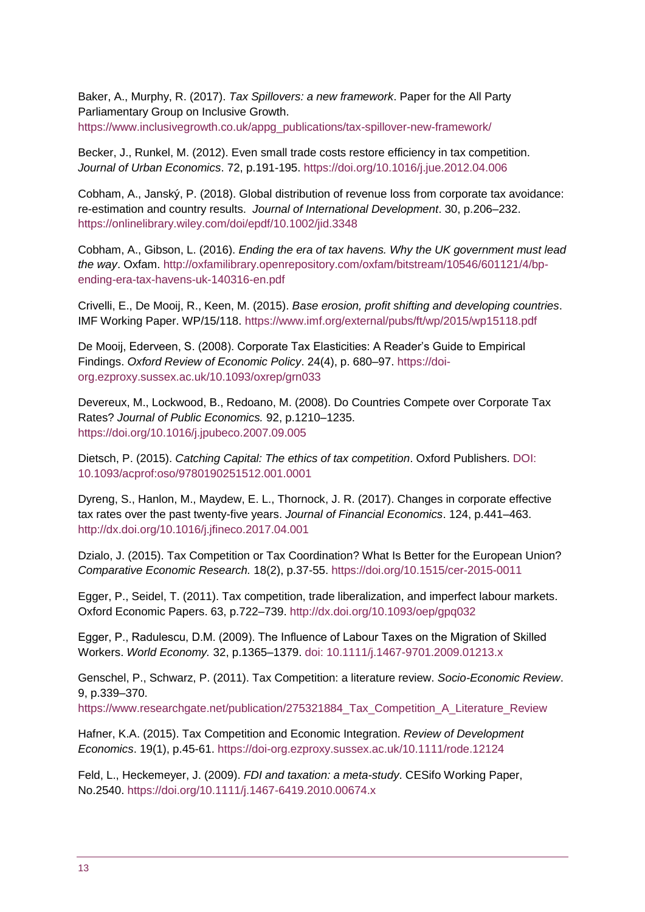Baker, A., Murphy, R. (2017). *Tax Spillovers: a new framework*. Paper for the All Party Parliamentary Group on Inclusive Growth. [https://www.inclusivegrowth.co.uk/appg\\_publications/tax-spillover-new-framework/](https://www.inclusivegrowth.co.uk/appg_publications/tax-spillover-new-framework/)

Becker, J., Runkel, M. (2012). Even small trade costs restore efficiency in tax competition. *Journal of Urban Economics*. 72, p.191-195. [https://doi.org/10.1016/j.jue.2012.04.006](https://doi-org.ezproxy.sussex.ac.uk/10.1016/j.jue.2012.04.006)

Cobham, A., Janský, P. (2018). Global distribution of revenue loss from corporate tax avoidance: re-estimation and country results. *Journal of International Development*. 30, p.206–232. <https://onlinelibrary.wiley.com/doi/epdf/10.1002/jid.3348>

Cobham, A., Gibson, L. (2016). *Ending the era of tax havens. Why the UK government must lead the way*. Oxfam. [http://oxfamilibrary.openrepository.com/oxfam/bitstream/10546/601121/4/bp](http://oxfamilibrary.openrepository.com/oxfam/bitstream/10546/601121/4/bp-ending-era-tax-havens-uk-140316-en.pdf)[ending-era-tax-havens-uk-140316-en.pdf](http://oxfamilibrary.openrepository.com/oxfam/bitstream/10546/601121/4/bp-ending-era-tax-havens-uk-140316-en.pdf) 

Crivelli, E., De Mooij, R., Keen, M. (2015). *Base erosion, profit shifting and developing countries*. IMF Working Paper. WP/15/118.<https://www.imf.org/external/pubs/ft/wp/2015/wp15118.pdf>

De Mooij, Ederveen, S. (2008). Corporate Tax Elasticities: A Reader's Guide to Empirical Findings. *Oxford Review of Economic Policy*. 24(4), p. 680–97[. https://doi](https://doi-org.ezproxy.sussex.ac.uk/10.1093/oxrep/grn033)[org.ezproxy.sussex.ac.uk/10.1093/oxrep/grn033](https://doi-org.ezproxy.sussex.ac.uk/10.1093/oxrep/grn033)

Devereux, M., Lockwood, B., Redoano, M. (2008). Do Countries Compete over Corporate Tax Rates? *Journal of Public Economics.* 92, p.1210–1235. [https://doi.org/10.1016/j.jpubeco.2007.09.005](https://doi-org.ezproxy.sussex.ac.uk/10.1016/j.jpubeco.2007.09.005)

Dietsch, P. (2015). *Catching Capital: The ethics of tax competition*. Oxford Publishers. DOI: 10.1093/acprof:oso/9780190251512.001.0001

Dyreng, S., Hanlon, M., Maydew, E. L., Thornock, J. R. (2017). Changes in corporate effective tax rates over the past twenty-five years. *Journal of Financial Economics*. 124, p.441–463. <http://dx.doi.org/10.1016/j.jfineco.2017.04.001>

Dzialo, J. (2015). Tax Competition or Tax Coordination? What Is Better for the European Union? *Comparative Economic Research.* 18(2), p.37-55.<https://doi.org/10.1515/cer-2015-0011>

Egger, P., Seidel, T. (2011). Tax competition, trade liberalization, and imperfect labour markets. Oxford Economic Papers. 63, p.722–739.<http://dx.doi.org/10.1093/oep/gpq032>

Egger, P., Radulescu, D.M. (2009). The Influence of Labour Taxes on the Migration of Skilled Workers. *World Economy.* 32, p.1365–1379. doi: 10.1111/j.1467-9701.2009.01213.x

Genschel, P., Schwarz, P. (2011). Tax Competition: a literature review. *Socio-Economic Review*. 9, p.339–370.

[https://www.researchgate.net/publication/275321884\\_Tax\\_Competition\\_A\\_Literature\\_Review](https://www.researchgate.net/publication/275321884_Tax_Competition_A_Literature_Review)

Hafner, K.A. (2015). Tax Competition and Economic Integration. *Review of Development Economics*. 19(1), p.45-61.<https://doi-org.ezproxy.sussex.ac.uk/10.1111/rode.12124>

Feld, L., Heckemeyer, J. (2009). *FDI and taxation: a meta-study*. CESifo Working Paper, No.2540. <https://doi.org/10.1111/j.1467-6419.2010.00674.x>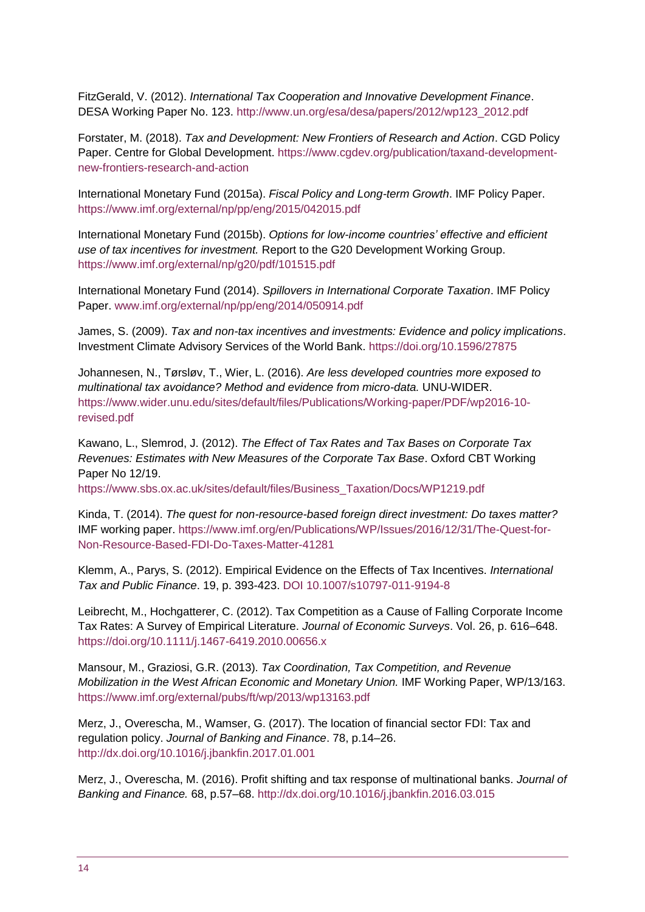FitzGerald, V. (2012). *International Tax Cooperation and Innovative Development Finance*. DESA Working Paper No. 123. [http://www.un.org/esa/desa/papers/2012/wp123\\_2012.pdf](http://www.un.org/esa/desa/papers/2012/wp123_2012.pdf)

Forstater, M. (2018). *Tax and Development: New Frontiers of Research and Action*. CGD Policy Paper. Centre for Global Development. [https://www.cgdev.org/publication/taxand-development](https://www.cgdev.org/publication/taxand-development-new-frontiers-research-and-action)[new-frontiers-research-and-action](https://www.cgdev.org/publication/taxand-development-new-frontiers-research-and-action)

International Monetary Fund (2015a). *Fiscal Policy and Long-term Growth*. IMF Policy Paper. <https://www.imf.org/external/np/pp/eng/2015/042015.pdf>

International Monetary Fund (2015b). *Options for low-income countries' effective and efficient use of tax incentives for investment.* Report to the G20 Development Working Group. <https://www.imf.org/external/np/g20/pdf/101515.pdf>

International Monetary Fund (2014). *Spillovers in International Corporate Taxation*. IMF Policy Paper. [www.imf.org/external/np/pp/eng/2014/050914.pdf](http://www.imf.org/external/np/pp/eng/2014/050914.pdf)

James, S. (2009). *Tax and non-tax incentives and investments: Evidence and policy implications*. Investment Climate Advisory Services of the World Bank.<https://doi.org/10.1596/27875>

Johannesen, N., Tørsløv, T., Wier, L. (2016). *Are less developed countries more exposed to multinational tax avoidance? Method and evidence from micro-data.* UNU-WIDER. [https://www.wider.unu.edu/sites/default/files/Publications/Working-paper/PDF/wp2016-10](https://www.wider.unu.edu/sites/default/files/Publications/Working-paper/PDF/wp2016-10-revised.pdf) [revised.pdf](https://www.wider.unu.edu/sites/default/files/Publications/Working-paper/PDF/wp2016-10-revised.pdf)

Kawano, L., Slemrod, J. (2012). *The Effect of Tax Rates and Tax Bases on Corporate Tax Revenues: Estimates with New Measures of the Corporate Tax Base*. Oxford CBT Working Paper No 12/19.

[https://www.sbs.ox.ac.uk/sites/default/files/Business\\_Taxation/Docs/WP1219.pdf](https://www.sbs.ox.ac.uk/sites/default/files/Business_Taxation/Docs/WP1219.pdf)

Kinda, T. (2014). *The quest for non-resource-based foreign direct investment: Do taxes matter?*  IMF working paper. [https://www.imf.org/en/Publications/WP/Issues/2016/12/31/The-Quest-for-](https://www.imf.org/en/Publications/WP/Issues/2016/12/31/The-Quest-for-Non-Resource-Based-FDI-Do-Taxes-Matter-41281)[Non-Resource-Based-FDI-Do-Taxes-Matter-41281](https://www.imf.org/en/Publications/WP/Issues/2016/12/31/The-Quest-for-Non-Resource-Based-FDI-Do-Taxes-Matter-41281)

Klemm, A., Parys, S. (2012). Empirical Evidence on the Effects of Tax Incentives. *International Tax and Public Finance*. 19, p. 393-423. DOI 10.1007/s10797-011-9194-8

Leibrecht, M., Hochgatterer, C. (2012). Tax Competition as a Cause of Falling Corporate Income Tax Rates: A Survey of Empirical Literature. *Journal of Economic Surveys*. Vol. 26, p. 616–648. <https://doi.org/10.1111/j.1467-6419.2010.00656.x>

Mansour, M., Graziosi, G.R. (2013). *Tax Coordination, Tax Competition, and Revenue Mobilization in the West African Economic and Monetary Union.* IMF Working Paper, WP/13/163. <https://www.imf.org/external/pubs/ft/wp/2013/wp13163.pdf>

Merz, J., Overescha, M., Wamser, G. (2017). The location of financial sector FDI: Tax and regulation policy. *Journal of Banking and Finance*. 78, p.14–26. <http://dx.doi.org/10.1016/j.jbankfin.2017.01.001>

Merz, J., Overescha, M. (2016). Profit shifting and tax response of multinational banks. *Journal of Banking and Finance.* 68, p.57–68.<http://dx.doi.org/10.1016/j.jbankfin.2016.03.015>